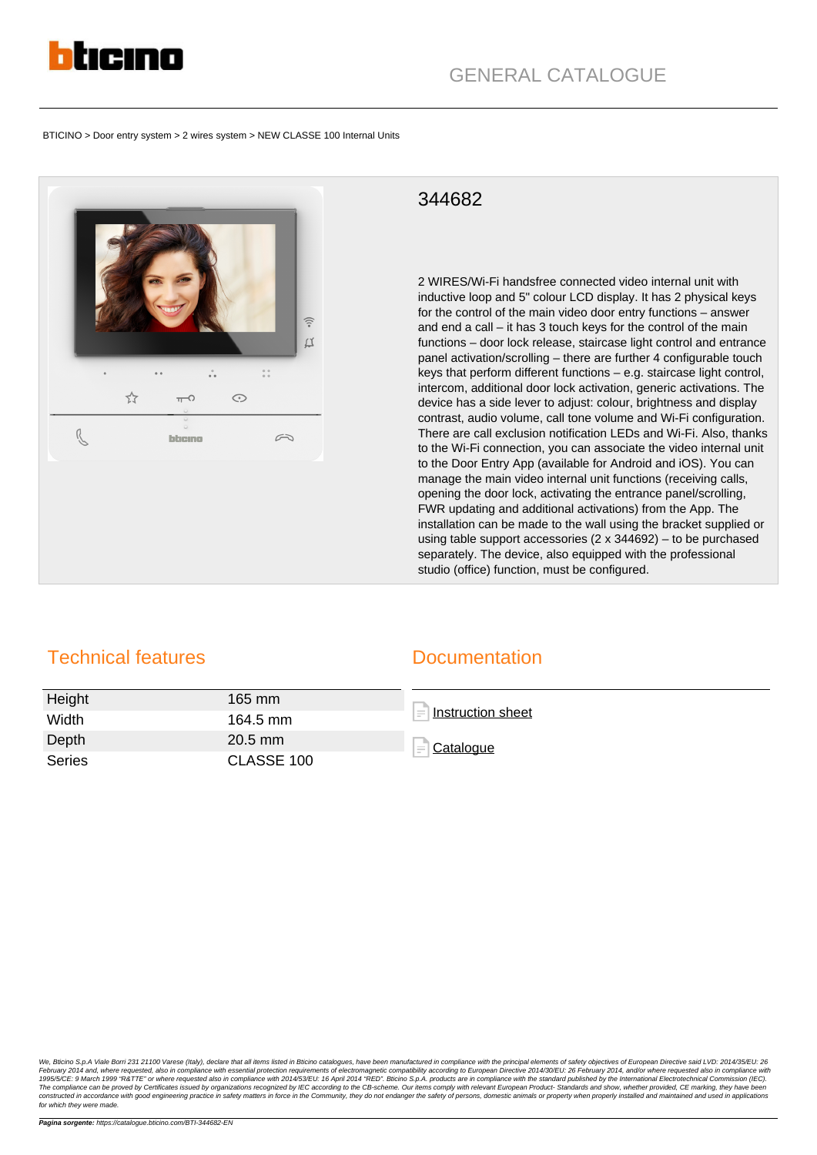

BTICINO > Door entry system > 2 wires system > NEW CLASSE 100 Internal Units



## 344682

2 WIRES/Wi-Fi handsfree connected video internal unit with inductive loop and 5" colour LCD display. It has 2 physical keys for the control of the main video door entry functions – answer and end a call – it has 3 touch keys for the control of the main functions – door lock release, staircase light control and entrance panel activation/scrolling – there are further 4 configurable touch keys that perform different functions – e.g. staircase light control, intercom, additional door lock activation, generic activations. The device has a side lever to adjust: colour, brightness and display contrast, audio volume, call tone volume and Wi-Fi configuration. There are call exclusion notification LEDs and Wi-Fi. Also, thanks to the Wi-Fi connection, you can associate the video internal unit to the Door Entry App (available for Android and iOS). You can manage the main video internal unit functions (receiving calls, opening the door lock, activating the entrance panel/scrolling, FWR updating and additional activations) from the App. The installation can be made to the wall using the bracket supplied or using table support accessories (2 x 344692) – to be purchased separately. The device, also equipped with the professional studio (office) function, must be configured.

## Technical features

## **Documentation**

| Height | 165 mm     | Instruction sheet              |
|--------|------------|--------------------------------|
| Width  | 164.5 mm   |                                |
| Depth  | $20.5$ mm  | Catalogue<br>$\qquad \qquad =$ |
| Series | CLASSE 100 |                                |

We, Blicho S.p.A Viale Bori 231 21100 Varese (Italy), declare that all itens listed in Blicho catalogues, have been manufactured in compliance with principal elements of electromagnetic compatibility according to European for which they were made.